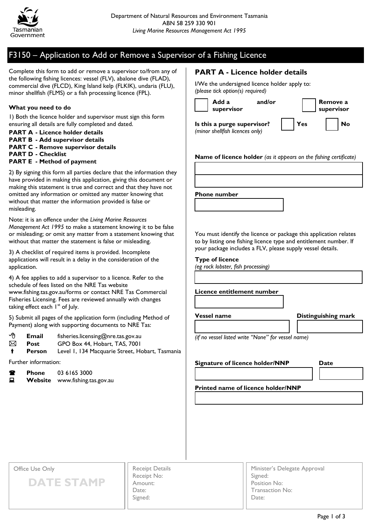

# F3150 – Application to Add or Remove a Supervisor of a Fishing Licence

Complete this form to add or remove a supervisor to/from any of the following fishing licences: vessel (FLV), abalone dive (FLAD), commercial dive (FLCD), King Island kelp (FLKIK), undaria (FLU), minor shellfish (FLMS) or a fish processing licence (FPL).

## **What you need to do**

1) Both the licence holder and supervisor must sign this form ensuring all details are fully completed and dated.

- **PART A - Licence holder details**
- **PART B - Add supervisor details**
- **PART C - Remove supervisor details**
- **PART D - Checklist**
- **PART E - Method of payment**

2) By signing this form all parties declare that the information they have provided in making this application, giving this document or making this statement is true and correct and that they have not omitted any information or omitted any matter knowing that without that matter the information provided is false or misleading.

Note: it is an offence under the *Living Marine Resources Management Act 1995* to make a statement knowing it to be false or misleading; or omit any matter from a statement knowing that without that matter the statement is false or misleading.

3) A checklist of required items is provided. Incomplete applications will result in a delay in the consideration of the application.

4) A fee applies to add a supervisor to a licence. Refer to the schedule of fees listed on the NRE Tas website www.fishing.tas.gov.au/forms or contact NRE Tas Commercial Fisheries Licensing. Fees are reviewed annually with changes taking effect each I<sup>st</sup> of July.

5) Submit all pages of the application form (including Method of Payment) along with supporting documents to NRE Tas:

| ∽∩ | Email         | fisheries.licensing@nre.tas.gov.au              |
|----|---------------|-------------------------------------------------|
| ⊠  | Post          | GPO Box 44, Hobart, TAS, 7001                   |
|    | <b>Person</b> | Level 1, 134 Macquarie Street, Hobart, Tasmania |

Further information:

| Т | <b>Phone</b>   | 03 6165 3000           |
|---|----------------|------------------------|
| 旦 | <b>Website</b> | www.fishing.tas.gov.au |

# **PART A - Licence holder details**

I/We the undersigned licence holder apply to: *(please tick option(s) required)*

| Add a<br>supervisor                                            | and/or |     | . Remove a<br>supervisor |
|----------------------------------------------------------------|--------|-----|--------------------------|
| Is this a purge supervisor?<br>(minor shellfish licences only) |        | Yes | No                       |

**Name of licence holder** *(as it appears on the fishing certificate)*

**Phone number**

You must identify the licence or package this application relates to by listing one fishing licence type and entitlement number. If your package includes a FLV, please supply vessel details.

### **Type of licence**

*(eg rock lobster, fish processing)*

**Licence entitlement number**

**Vessel name Distinguishing mark**

*(if no vessel listed write "None" for vessel name)*

**Signature of licence holder/NNP Date**

**Printed name of licence holder/NNP**

Office Use Only

**DATE STAMP**

| <b>Receipt Details</b> |
|------------------------|
| Receipt No:            |
| Amount:                |
| Date:                  |
| Signed:                |
|                        |

Minister's Delegate Approval Signed: Position No: Transaction No: Date: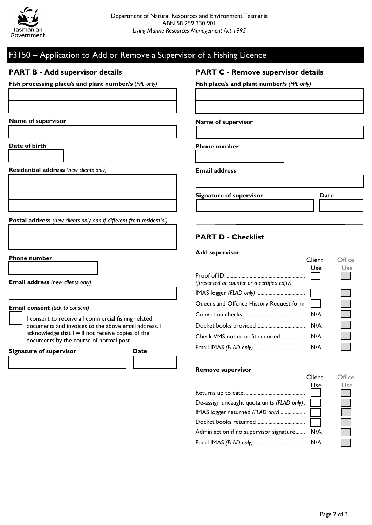

# F3150 – Application to Add or Remove a Supervisor of a Fishing Licence

# **PART B - Add supervisor details**

**Fish processing place/s and plant number/s** (*FPL only)*

**Name of supervisor**

**Date of birth**

**Residential address** *(new clients only)*

**Postal address** *(new clients only and if different from residential)*

**Phone number**

**Email address** *(new clients only)*

#### **Email consent** *(tick to consent)*

I consent to receive all commercial fishing related documents and invoices to the above email address. I acknowledge that I will not receive copies of the documents by the course of normal post.

**Signature of supervisor Date**

## **PART C - Remove supervisor details**

**Fish place/s and plant number/s** *(FPL only)*

#### **Name of supervisor**

**Phone number**

**Email address**

**Signature of supervisor Date**

# **PART D - Checklist**

#### **Add supervisor**

|                                            | Client | Office |
|--------------------------------------------|--------|--------|
|                                            | Use    | Use    |
| (presented at counter or a certified copy) |        |        |
|                                            |        |        |
| Queensland Offence History Request form    |        |        |
|                                            | N/A    |        |
|                                            |        |        |
| Check VMS notice to fit required           | N/A    |        |
|                                            | N/A    |        |

#### **Remove supervisor**